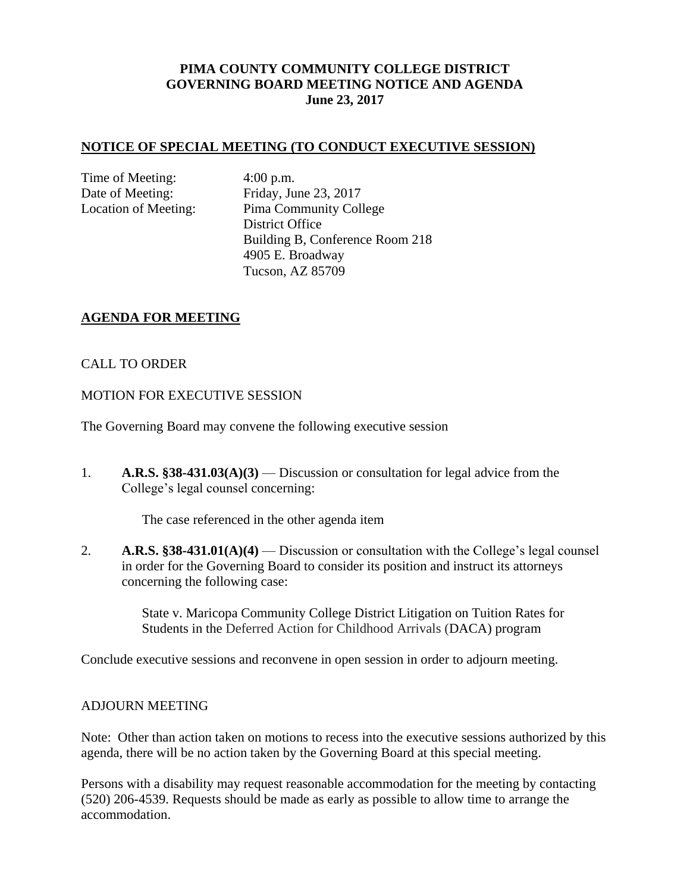# **PIMA COUNTY COMMUNITY COLLEGE DISTRICT GOVERNING BOARD MEETING NOTICE AND AGENDA June 23, 2017**

### **NOTICE OF SPECIAL MEETING (TO CONDUCT EXECUTIVE SESSION)**

Time of Meeting: 4:00 p.m.

Date of Meeting: Friday, June 23, 2017 Location of Meeting: Pima Community College District Office Building B, Conference Room 218 4905 E. Broadway Tucson, AZ 85709

## **AGENDA FOR MEETING**

## CALL TO ORDER

## MOTION FOR EXECUTIVE SESSION

The Governing Board may convene the following executive session

1. **A.R.S. §38-431.03(A)(3)** — Discussion or consultation for legal advice from the College's legal counsel concerning:

The case referenced in the other agenda item

2. **A.R.S. §38-431.01(A)(4)** — Discussion or consultation with the College's legal counsel in order for the Governing Board to consider its position and instruct its attorneys concerning the following case:

> State v. Maricopa Community College District Litigation on Tuition Rates for Students in the Deferred Action for Childhood Arrivals (DACA) program

Conclude executive sessions and reconvene in open session in order to adjourn meeting.

## ADJOURN MEETING

Note: Other than action taken on motions to recess into the executive sessions authorized by this agenda, there will be no action taken by the Governing Board at this special meeting.

Persons with a disability may request reasonable accommodation for the meeting by contacting (520) 206-4539. Requests should be made as early as possible to allow time to arrange the accommodation.